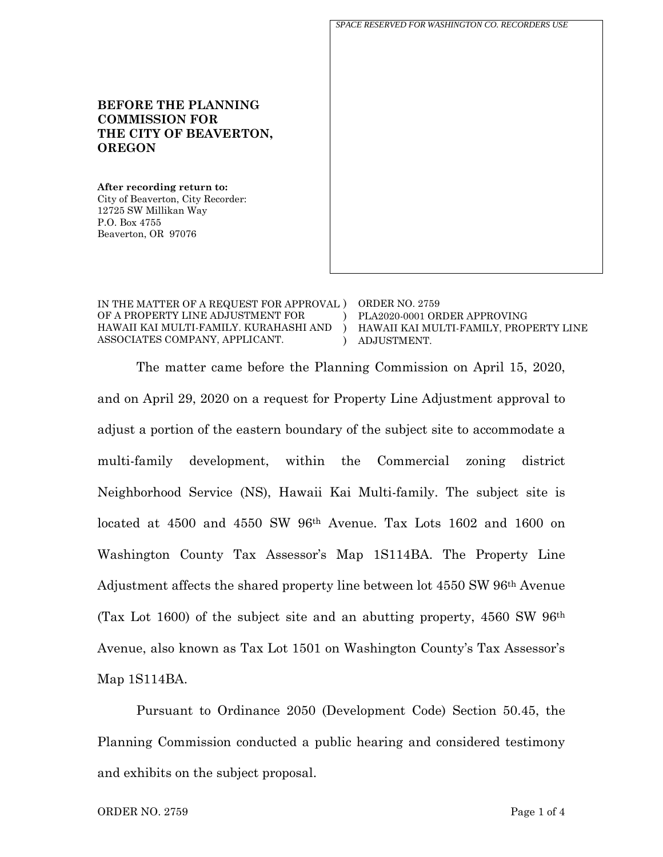*SPACE RESERVED FOR WASHINGTON CO. RECORDERS USE*

IN THE MATTER OF A REQUEST FOR APPROVAL ) ORDER NO. 2759 OF A PROPERTY LINE ADJUSTMENT FOR HAWAII KAI MULTI-FAMILY. KURAHASHI AND ASSOCIATES COMPANY, APPLICANT.  $\lambda$ ) )

**BEFORE THE PLANNING** 

**THE CITY OF BEAVERTON,** 

**COMMISSION FOR** 

**After recording return to:** City of Beaverton, City Recorder:

12725 SW Millikan Way

**OREGON**

P.O. Box 4755 Beaverton, OR 97076

> PLA2020-0001 ORDER APPROVING HAWAII KAI MULTI-FAMILY, PROPERTY LINE ADJUSTMENT.

The matter came before the Planning Commission on April 15, 2020, and on April 29, 2020 on a request for Property Line Adjustment approval to adjust a portion of the eastern boundary of the subject site to accommodate a multi-family development, within the Commercial zoning district Neighborhood Service (NS), Hawaii Kai Multi-family. The subject site is located at 4500 and 4550 SW 96th Avenue. Tax Lots 1602 and 1600 on Washington County Tax Assessor's Map 1S114BA. The Property Line Adjustment affects the shared property line between lot 4550 SW 96th Avenue (Tax Lot 1600) of the subject site and an abutting property, 4560 SW 96th Avenue, also known as Tax Lot 1501 on Washington County's Tax Assessor's Map 1S114BA.

Pursuant to Ordinance 2050 (Development Code) Section 50.45, the Planning Commission conducted a public hearing and considered testimony and exhibits on the subject proposal.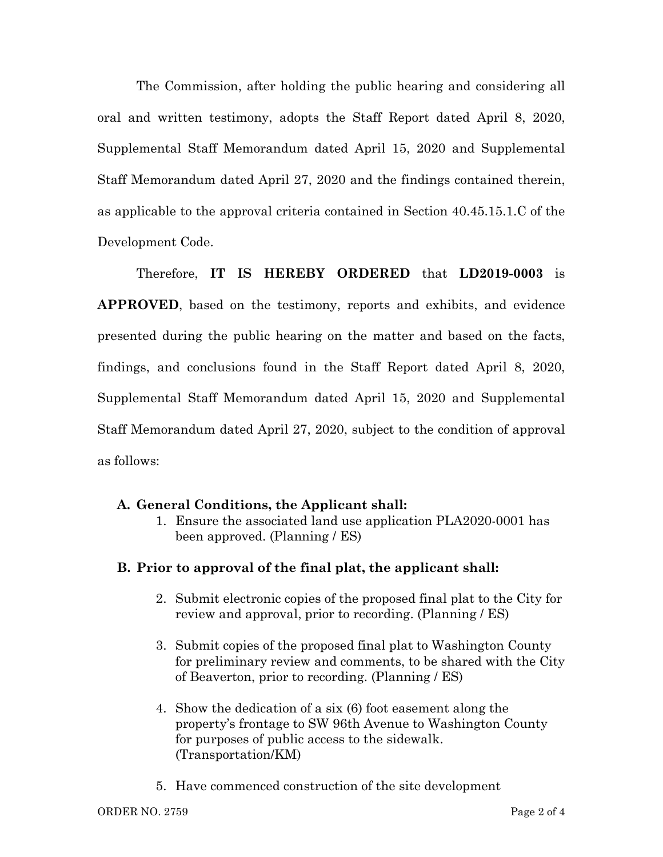The Commission, after holding the public hearing and considering all oral and written testimony, adopts the Staff Report dated April 8, 2020, Supplemental Staff Memorandum dated April 15, 2020 and Supplemental Staff Memorandum dated April 27, 2020 and the findings contained therein, as applicable to the approval criteria contained in Section 40.45.15.1.C of the Development Code.

Therefore, **IT IS HEREBY ORDERED** that **LD2019-0003** is **APPROVED**, based on the testimony, reports and exhibits, and evidence presented during the public hearing on the matter and based on the facts, findings, and conclusions found in the Staff Report dated April 8, 2020, Supplemental Staff Memorandum dated April 15, 2020 and Supplemental Staff Memorandum dated April 27, 2020, subject to the condition of approval as follows:

# **A. General Conditions, the Applicant shall:**

1. Ensure the associated land use application PLA2020-0001 has been approved. (Planning / ES)

# **B. Prior to approval of the final plat, the applicant shall:**

- 2. Submit electronic copies of the proposed final plat to the City for review and approval, prior to recording. (Planning / ES)
- 3. Submit copies of the proposed final plat to Washington County for preliminary review and comments, to be shared with the City of Beaverton, prior to recording. (Planning / ES)
- 4. Show the dedication of a six (6) foot easement along the property's frontage to SW 96th Avenue to Washington County for purposes of public access to the sidewalk. (Transportation/KM)
- 5. Have commenced construction of the site development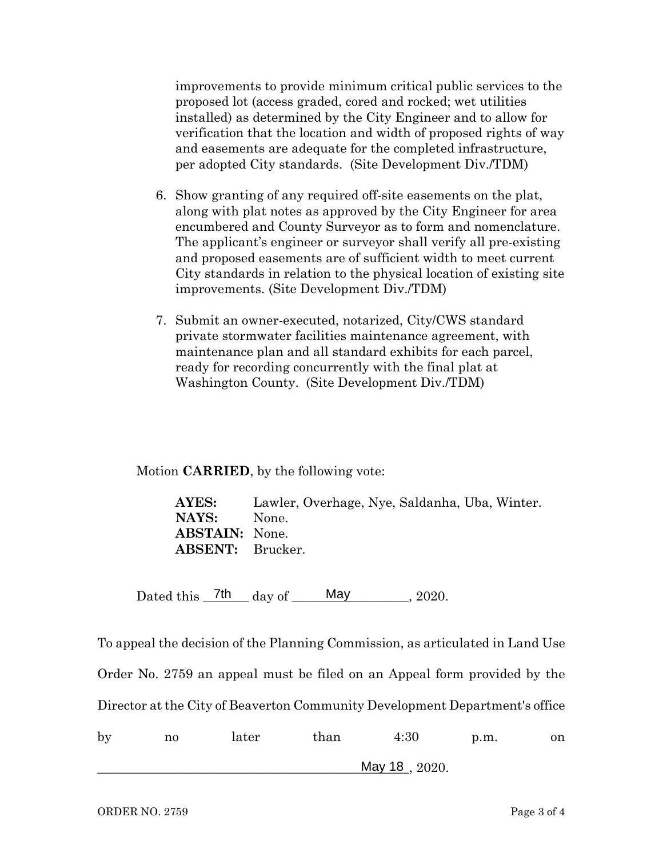improvements to provide minimum critical public services to the proposed lot (access graded, cored and rocked; wet utilities installed) as determined by the City Engineer and to allow for verification that the location and width of proposed rights of way and easements are adequate for the completed infrastructure, per adopted City standards. (Site Development Div./TDM)

- 6. Show granting of any required off-site easements on the plat, along with plat notes as approved by the City Engineer for area encumbered and County Surveyor as to form and nomenclature. The applicant's engineer or surveyor shall verify all pre-existing and proposed easements are of sufficient width to meet current City standards in relation to the physical location of existing site improvements. (Site Development Div./TDM)
- 7. Submit an owner-executed, notarized, City/CWS standard private stormwater facilities maintenance agreement, with maintenance plan and all standard exhibits for each parcel, ready for recording concurrently with the final plat at Washington County. (Site Development Div./TDM)

Motion **CARRIED**, by the following vote:

**AYES:** Lawler, Overhage, Nye, Saldanha, Uba, Winter. **NAYS:** None. **ABSTAIN:** None. **ABSENT:** Brucker.

Dated this  $_7$ <sup>th</sup> day of  $_5$  May  $_3$ , 2020. May 2020.

To appeal the decision of the Planning Commission, as articulated in Land Use Order No. 2759 an appeal must be filed on an Appeal form provided by the Director at the City of Beaverton Community Development Department's office by no later than 4:30 p.m. on

\_\_\_\_\_\_\_\_\_\_\_\_\_\_\_\_\_\_\_\_\_\_\_\_\_\_\_\_\_\_\_\_\_\_\_\_\_\_\_\_\_\_\_\_\_\_\_\_, 2020. May 18